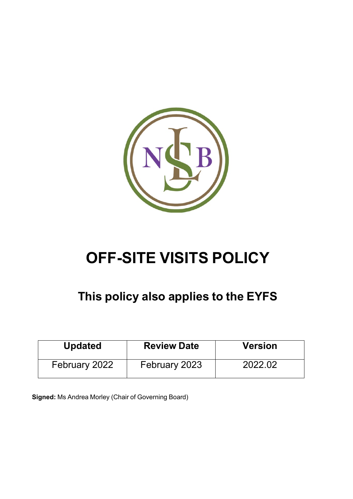

# **OFF-SITE VISITS POLICY**

## **This policy also applies to the EYFS**

| <b>Updated</b> | <b>Review Date</b> | <b>Version</b> |  |  |  |
|----------------|--------------------|----------------|--|--|--|
| February 2022  | February 2023      | 2022.02        |  |  |  |

**Signed:** Ms Andrea Morley (Chair of Governing Board)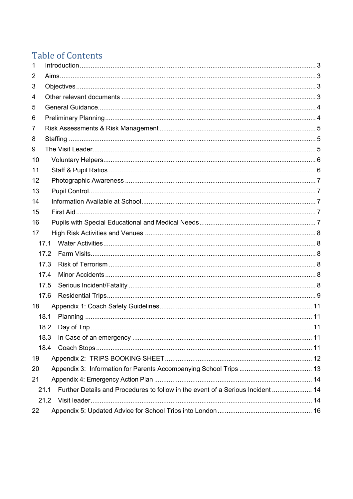### **Table of Contents**

| $\mathbf{1}$ |                                                                                         |  |
|--------------|-----------------------------------------------------------------------------------------|--|
| 2            |                                                                                         |  |
| 3            |                                                                                         |  |
| 4            |                                                                                         |  |
| 5            |                                                                                         |  |
| 6            |                                                                                         |  |
| 7            |                                                                                         |  |
| 8            |                                                                                         |  |
| 9            |                                                                                         |  |
| 10           |                                                                                         |  |
| 11           |                                                                                         |  |
| 12           |                                                                                         |  |
| 13           |                                                                                         |  |
| 14           |                                                                                         |  |
| 15           |                                                                                         |  |
| 16           |                                                                                         |  |
| 17           |                                                                                         |  |
|              | 17.1                                                                                    |  |
|              | 17.2                                                                                    |  |
|              | 17.3                                                                                    |  |
|              | 17.4                                                                                    |  |
|              | 17.5                                                                                    |  |
|              | 17.6                                                                                    |  |
| 18           |                                                                                         |  |
|              | 18.1                                                                                    |  |
|              |                                                                                         |  |
|              | 18.3                                                                                    |  |
|              | 18.4                                                                                    |  |
| 19           |                                                                                         |  |
| 20           |                                                                                         |  |
| 21           |                                                                                         |  |
|              | Further Details and Procedures to follow in the event of a Serious Incident  14<br>21.1 |  |
|              | 21.2                                                                                    |  |
| 22           |                                                                                         |  |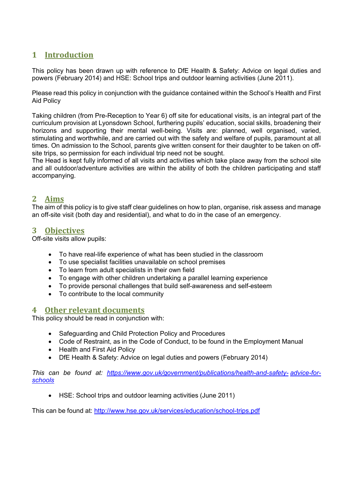### <span id="page-2-0"></span>**1 Introduction**

This policy has been drawn up with reference to DfE Health & Safety: Advice on legal duties and powers (February 2014) and HSE: School trips and outdoor learning activities (June 2011).

Please read this policy in conjunction with the guidance contained within the School's Health and First Aid Policy

Taking children (from Pre-Reception to Year 6) off site for educational visits, is an integral part of the curriculum provision at Lyonsdown School, furthering pupils' education, social skills, broadening their horizons and supporting their mental well-being. Visits are: planned, well organised, varied, stimulating and worthwhile, and are carried out with the safety and welfare of pupils, paramount at all times. On admission to the School, parents give written consent for their daughter to be taken on offsite trips, so permission for each individual trip need not be sought.

The Head is kept fully informed of all visits and activities which take place away from the school site and all outdoor/adventure activities are within the ability of both the children participating and staff accompanying.

### <span id="page-2-1"></span>**2 Aims**

The aim of this policy is to give staff clear guidelines on how to plan, organise, risk assess and manage an off-site visit (both day and residential), and what to do in the case of an emergency.

#### <span id="page-2-2"></span>**3 Objectives**

Off-site visits allow pupils:

- To have real-life experience of what has been studied in the classroom
- To use specialist facilities unavailable on school premises
- To learn from adult specialists in their own field
- To engage with other children undertaking a parallel learning experience
- To provide personal challenges that build self-awareness and self-esteem
- To contribute to the local community

#### <span id="page-2-3"></span>**4 Other relevant documents**

This policy should be read in conjunction with:

- Safeguarding and Child Protection Policy and Procedures
- Code of Restraint, as in the Code of Conduct, to be found in the Employment Manual
- Health and First Aid Policy
- DfE Health & Safety: Advice on legal duties and powers (February 2014)

*This can be found at: [https://www.gov.uk/government/publications/health-and-safety-](https://www.gov.uk/government/publications/health-and-safety-advice-for-schools) [advice-for](https://www.gov.uk/government/publications/health-and-safety-advice-for-schools)[schools](https://www.gov.uk/government/publications/health-and-safety-advice-for-schools)*

• HSE: School trips and outdoor learning activities (June 2011)

This can be found at: <http://www.hse.gov.uk/services/education/school-trips.pdf>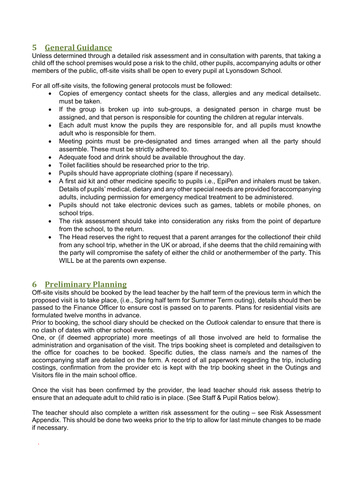### <span id="page-3-0"></span>**5 General Guidance**

Unless determined through a detailed risk assessment and in consultation with parents, that taking a child off the school premises would pose a risk to the child, other pupils, accompanying adults or other members of the public, off-site visits shall be open to every pupil at Lyonsdown School.

For all off-site visits, the following general protocols must be followed:

- Copies of emergency contact sheets for the class, allergies and any medical detailsetc. must be taken.
- If the group is broken up into sub-groups, a designated person in charge must be assigned, and that person is responsible for counting the children at regular intervals.
- Each adult must know the pupils they are responsible for, and all pupils must knowthe adult who is responsible for them.
- Meeting points must be pre-designated and times arranged when all the party should assemble. These must be strictly adhered to.
- Adequate food and drink should be available throughout the day.
- Toilet facilities should be researched prior to the trip.
- Pupils should have appropriate clothing (spare if necessary).
- A first aid kit and other medicine specific to pupils i.e., EpiPen and inhalers must be taken. Details of pupils' medical, dietary and any other special needs are provided foraccompanying adults, including permission for emergency medical treatment to be administered.
- Pupils should not take electronic devices such as games, tablets or mobile phones, on school trips.
- The risk assessment should take into consideration any risks from the point of departure from the school, to the return.
- The Head reserves the right to request that a parent arranges for the collectionof their child from any school trip, whether in the UK or abroad, if she deems that the child remaining with the party will compromise the safety of either the child or anothermember of the party. This WILL be at the parents own expense.

### <span id="page-3-1"></span>**6 Preliminary Planning**

*.*

Off-site visits should be booked by the lead teacher by the half term of the previous term in which the proposed visit is to take place, (i.e., Spring half term for Summer Term outing), details should then be passed to the Finance Officer to ensure cost is passed on to parents. Plans for residential visits are formulated twelve months in advance.

Prior to booking, the school diary should be checked on the *Outlook* calendar to ensure that there is no clash of dates with other school events.

One, or (if deemed appropriate) more meetings of all those involved are held to formalise the administration and organisation of the visit. The trips booking sheet is completed and detailsgiven to the office for coaches to be booked. Specific duties, the class name/s and the names of the accompanying staff are detailed on the form. A record of all paperwork regarding the trip, including costings, confirmation from the provider etc is kept with the trip booking sheet in the Outings and Visitors file in the main school office.

Once the visit has been confirmed by the provider, the lead teacher should risk assess thetrip to ensure that an adequate adult to child ratio is in place. (See Staff & Pupil Ratios below).

The teacher should also complete a written risk assessment for the outing – see Risk Assessment Appendix. This should be done two weeks prior to the trip to allow for last minute changes to be made if necessary.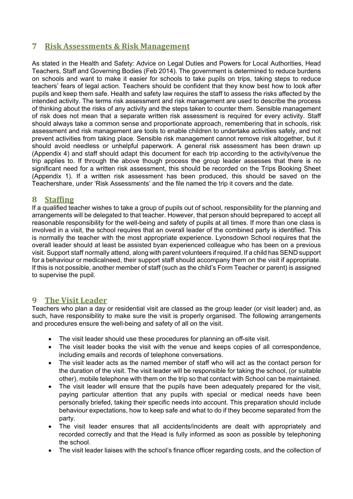### <span id="page-4-0"></span>**7 Risk Assessments & Risk Management**

As stated in the Health and Safety: Advice on Legal Duties and Powers for Local Authorities, Head Teachers, Staff and Governing Bodies (Feb 2014). The government is determined to reduce burdens on schools and want to make it easier for schools to take pupils on trips, taking steps to reduce teachers' fears of legal action. Teachers should be confident that they know best how to look after pupils and keep them safe. Health and safety law requires the staff to assess the risks affected by the intended activity. The terms risk assessment and risk management are used to describe the process of thinking about the risks of any activity and the steps taken to counter them. Sensible management of risk does not mean that a separate written risk assessment is required for every activity. Staff should always take a common sense and proportionate approach, remembering that in schools, risk assessment and risk management are tools to enable children to undertake activities safely, and not prevent activities from taking place. Sensible risk management cannot remove risk altogether, but it should avoid needless or unhelpful paperwork. A general risk assessment has been drawn up (Appendix 4) and staff should adapt this document for each trip according to the activity/venue the trip applies to. If through the above though process the group leader assesses that there is no significant need for a written risk assessment, this should be recorded on the Trips Booking Sheet (Appendix 1). If a written risk assessment has been produced, this should be saved on the Teachershare, under 'Risk Assessments' and the file named the trip it covers and the date.

#### <span id="page-4-1"></span>**8 Staffing**

If a qualified teacher wishes to take a group of pupils out of school, responsibility for the planning and arrangements will be delegated to that teacher. However, that person should beprepared to accept all reasonable responsibility for the well-being and safety of pupils at all times. If more than one class is involved in a visit, the school requires that an overall leader of the combined party is identified. This is normally the teacher with the most appropriate experience. Lyonsdown School requires that the overall leader should at least be assisted byan experienced colleague who has been on a previous visit. Support staff normally attend, along with parent volunteers if required. If a child has SEND support for a behaviour or medicalneed, their support staff should accompany them on the visit if appropriate. If this is not possible, another member of staff (such as the child's Form Teacher or parent) is assigned to supervise the pupil.

### <span id="page-4-2"></span>**9 The Visit Leader**

Teachers who plan a day or residential visit are classed as the group leader (or visit leader) and, as such, have responsibility to make sure the visit is properly organised. The following arrangements and procedures ensure the well-being and safety of all on the visit.

- The visit leader should use these procedures for planning an off-site visit.
- The visit leader books the visit with the venue and keeps copies of all correspondence, including emails and records of telephone conversations.
- The visit leader acts as the named member of staff who will act as the contact person for the duration of the visit. The visit leader will be responsible for taking the school, (or suitable other), mobile telephone with them on the trip so that contact with School can be maintained.
- The visit leader will ensure that the pupils have been adequately prepared for the visit, paying particular attention that any pupils with special or medical needs have been personally briefed, taking their specific needs into account. This preparation should include behaviour expectations, how to keep safe and what to do if they become separated from the party.
- The visit leader ensures that all accidents/incidents are dealt with appropriately and recorded correctly and that the Head is fully informed as soon as possible by telephoning the school.
- The visit leader liaises with the school's finance officer regarding costs, and the collection of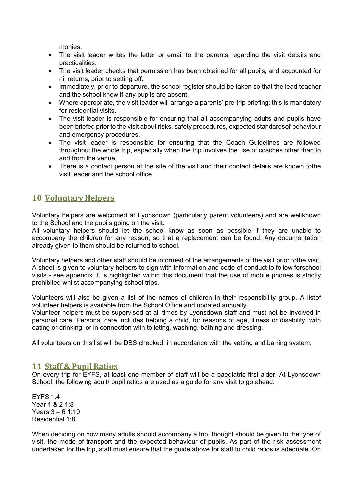monies.

- The visit leader writes the letter or email to the parents regarding the visit details and practicalities.
- The visit leader checks that permission has been obtained for all pupils, and accounted for nil returns, prior to setting off.
- Immediately, prior to departure, the school register should be taken so that the lead teacher and the school know if any pupils are absent.
- Where appropriate, the visit leader will arrange a parents' pre-trip briefing; this is mandatory for residential visits.
- The visit leader is responsible for ensuring that all accompanying adults and pupils have been briefed prior to the visit about risks, safety procedures, expected standardsof behaviour and emergency procedures.
- The visit leader is responsible for ensuring that the Coach Guidelines are followed throughout the whole trip, especially when the trip involves the use of coaches other than to and from the venue.
- There is a contact person at the site of the visit and their contact details are known tothe visit leader and the school office.

### <span id="page-5-0"></span>**10 Voluntary Helpers**

Voluntary helpers are welcomed at Lyonsdown (particularly parent volunteers) and are wellknown to the School and the pupils going on the visit.

All voluntary helpers should let the school know as soon as possible if they are unable to accompany the children for any reason, so that a replacement can be found. Any documentation already given to them should be returned to school.

Voluntary helpers and other staff should be informed of the arrangements of the visit prior tothe visit. A sheet is given to voluntary helpers to sign with information and code of conduct to follow forschool visits - see appendix. It is highlighted within this document that the use of mobile phones is strictly prohibited whilst accompanying school trips.

Volunteers will also be given a list of the names of children in their responsibility group. A listof volunteer helpers is available from the School Office and updated annually.

Volunteer helpers must be supervised at all times by Lyonsdown staff and must not be involved in personal care. Personal care includes helping a child, for reasons of age, illness or disability, with eating or drinking, or in connection with toileting, washing, bathing and dressing.

All volunteers on this list will be DBS checked, in accordance with the vetting and barring system.

#### <span id="page-5-1"></span>**11 Staff & Pupil Ratios**

On every trip for EYFS, at least one member of staff will be a paediatric first aider. At Lyonsdown School, the following adult/ pupil ratios are used as a guide for any visit to go ahead:

EYFS 1:4 Year 1 & 2 1:8 Years 3 – 6 1:10 Residential 1:8

When deciding on how many adults should accompany a trip, thought should be given to the type of visit, the mode of transport and the expected behaviour of pupils. As part of the risk assessment undertaken for the trip, staff must ensure that the guide above for staff to child ratios is adequate. On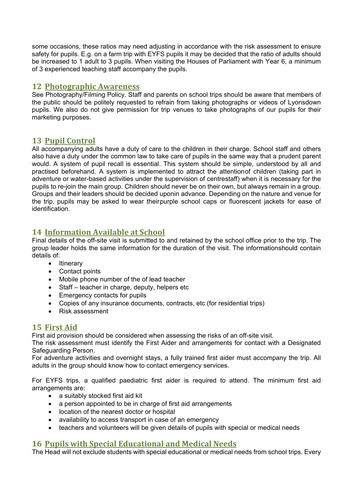some occasions, these ratios may need adjusting in accordance with the risk assessment to ensure safety for pupils. E.g. on a farm trip with EYFS pupils it may be decided that the ratio of adults should be increased to 1 adult to 3 pupils. When visiting the Houses of Parliament with Year 6, a minimum of 3 experienced teaching staff accompany the pupils.

### <span id="page-6-0"></span>**12 Photographic Awareness**

See Photography/Filming Policy. Staff and parents on school trips should be aware that members of the public should be politely requested to refrain from taking photographs or videos of Lyonsdown pupils. We also do not give permission for trip venues to take photographs of our pupils for their marketing purposes.

### <span id="page-6-1"></span>**13 Pupil Control**

All accompanying adults have a duty of care to the children in their charge. School staff and others also have a duty under the common law to take care of pupils in the same way that a prudent parent would. A system of pupil recall is essential. This system should be simple, understood by all and practised beforehand. A system is implemented to attract the attentionof children (taking part in adventure or water-based activities under the supervision of centrestaff) when it is necessary for the pupils to re-join the main group. Children should never be on their own, but always remain in a group. Groups and their leaders should be decided uponin advance. Depending on the nature and venue for the trip, pupils may be asked to wear theirpurple school caps or fluorescent jackets for ease of identification.

### <span id="page-6-2"></span>**14 Information Available at School**

Final details of the off-site visit is submitted to and retained by the school office prior to the trip. The group leader holds the same information for the duration of the visit. The informationshould contain details of:

- Itinerary
- Contact points
- Mobile phone number of the of lead teacher
- Staff teacher in charge, deputy, helpers etc
- Emergency contacts for pupils
- Copies of any insurance documents, contracts, etc (for residential trips)
- Risk assessment

### <span id="page-6-3"></span>**15 First Aid**

First aid provision should be considered when assessing the risks of an off-site visit.

The risk assessment must identify the First Aider and arrangements for contact with a Designated Safeguarding Person.

For adventure activities and overnight stays, a fully trained first aider must accompany the trip. All adults in the group should know how to contact emergency services.

For EYFS trips, a qualified paediatric first aider is required to attend. The minimum first aid arrangements are:

- a suitably stocked first aid kit
- a person appointed to be in charge of first aid arrangements
- location of the nearest doctor or hospital
- availability to access transport in case of an emergency
- teachers and volunteers will be given details of pupils with special or medical needs

### <span id="page-6-4"></span>**16 Pupils with Special Educational and Medical Needs**

The Head will not exclude students with special educational or medical needs from school trips. Every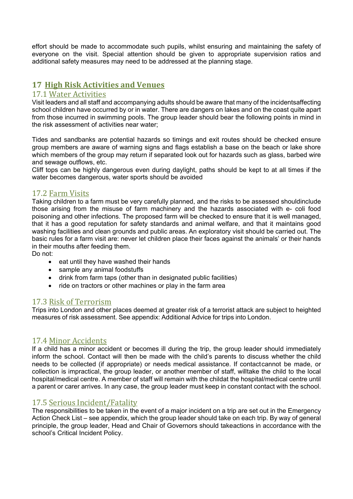effort should be made to accommodate such pupils, whilst ensuring and maintaining the safety of everyone on the visit. Special attention should be given to appropriate supervision ratios and additional safety measures may need to be addressed at the planning stage.

### <span id="page-7-0"></span>**17 High Risk Activities and Venues**

### <span id="page-7-1"></span>17.1 Water Activities

Visit leaders and all staff and accompanying adults should be aware that many of the incidentsaffecting school children have occurred by or in water. There are dangers on lakes and on the coast quite apart from those incurred in swimming pools. The group leader should bear the following points in mind in the risk assessment of activities near water;

Tides and sandbanks are potential hazards so timings and exit routes should be checked ensure group members are aware of warning signs and flags establish a base on the beach or lake shore which members of the group may return if separated look out for hazards such as glass, barbed wire and sewage outflows, etc.

Cliff tops can be highly dangerous even during daylight, paths should be kept to at all times if the water becomes dangerous, water sports should be avoided

### <span id="page-7-2"></span>17.2 Farm Visits

Taking children to a farm must be very carefully planned, and the risks to be assessed shouldinclude those arising from the misuse of farm machinery and the hazards associated with e- coli food poisoning and other infections. The proposed farm will be checked to ensure that it is well managed, that it has a good reputation for safety standards and animal welfare, and that it maintains good washing facilities and clean grounds and public areas. An exploratory visit should be carried out. The basic rules for a farm visit are: never let children place their faces against the animals' or their hands in their mouths after feeding them.

Do not:

- eat until they have washed their hands
- sample any animal foodstuffs
- drink from farm taps (other than in designated public facilities)
- ride on tractors or other machines or play in the farm area

### <span id="page-7-3"></span>17.3 Risk of Terrorism

Trips into London and other places deemed at greater risk of a terrorist attack are subject to heighted measures of risk assessment. See appendix: Additional Advice for trips into London.

### <span id="page-7-4"></span>17.4 Minor Accidents

If a child has a minor accident or becomes ill during the trip, the group leader should immediately inform the school. Contact will then be made with the child's parents to discuss whether the child needs to be collected (if appropriate) or needs medical assistance. If contactcannot be made, or collection is impractical, the group leader, or another member of staff, willtake the child to the local hospital/medical centre. A member of staff will remain with the childat the hospital/medical centre until a parent or carer arrives. In any case, the group leader must keep in constant contact with the school.

### <span id="page-7-5"></span>17.5 Serious Incident/Fatality

The responsibilities to be taken in the event of a major incident on a trip are set out in the Emergency Action Check List – see appendix, which the group leader should take on each trip. By way of general principle, the group leader, Head and Chair of Governors should takeactions in accordance with the school's Critical Incident Policy.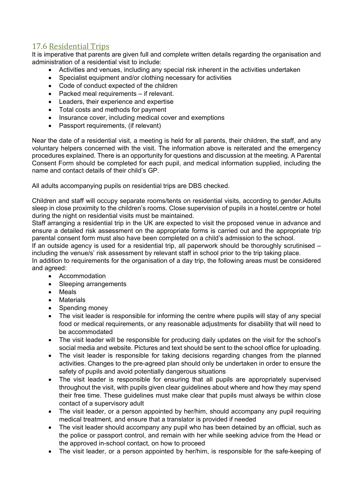### <span id="page-8-0"></span>17.6 Residential Trips

It is imperative that parents are given full and complete written details regarding the organisation and administration of a residential visit to include:

- Activities and venues, including any special risk inherent in the activities undertaken
- Specialist equipment and/or clothing necessary for activities
- Code of conduct expected of the children
- Packed meal requirements if relevant.
- Leaders, their experience and expertise
- Total costs and methods for payment
- Insurance cover, including medical cover and exemptions
- Passport requirements, (if relevant)

Near the date of a residential visit, a meeting is held for all parents, their children, the staff, and any voluntary helpers concerned with the visit. The information above is reiterated and the emergency procedures explained. There is an opportunity for questions and discussion at the meeting. A Parental Consent Form should be completed for each pupil, and medical information supplied, including the name and contact details of their child's GP.

All adults accompanying pupils on residential trips are DBS checked.

Children and staff will occupy separate rooms/tents on residential visits, according to gender.Adults sleep in close proximity to the children's rooms. Close supervision of pupils in a hostel,centre or hotel during the night on residential visits must be maintained.

Staff arranging a residential trip in the UK are expected to visit the proposed venue in advance and ensure a detailed risk assessment on the appropriate forms is carried out and the appropriate trip parental consent form must also have been completed on a child's admission to the school.

If an outside agency is used for a residential trip, all paperwork should be thoroughly scrutinised – including the venue/s' risk assessment by relevant staff in school prior to the trip taking place.

In addition to requirements for the organisation of a day trip, the following areas must be considered and agreed:

- Accommodation
- Sleeping arrangements
- Meals
- **Materials**
- Spending money
- The visit leader is responsible for informing the centre where pupils will stay of any special food or medical requirements, or any reasonable adjustments for disability that will need to be accommodated
- The visit leader will be responsible for producing daily updates on the visit for the school's social media and website. Pictures and text should be sent to the school office for uploading.
- The visit leader is responsible for taking decisions regarding changes from the planned activities. Changes to the pre-agreed plan should only be undertaken in order to ensure the safety of pupils and avoid potentially dangerous situations
- The visit leader is responsible for ensuring that all pupils are appropriately supervised throughout the visit, with pupils given clear guidelines about where and how they may spend their free time. These guidelines must make clear that pupils must always be within close contact of a supervisory adult
- The visit leader, or a person appointed by her/him, should accompany any pupil requiring medical treatment, and ensure that a translator is provided if needed
- The visit leader should accompany any pupil who has been detained by an official, such as the police or passport control, and remain with her while seeking advice from the Head or the approved in-school contact, on how to proceed
- The visit leader, or a person appointed by her/him, is responsible for the safe-keeping of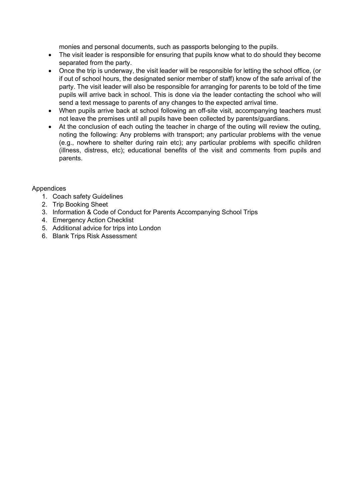monies and personal documents, such as passports belonging to the pupils.

- The visit leader is responsible for ensuring that pupils know what to do should they become separated from the party.
- Once the trip is underway, the visit leader will be responsible for letting the school office, (or if out of school hours, the designated senior member of staff) know of the safe arrival of the party. The visit leader will also be responsible for arranging for parents to be told of the time pupils will arrive back in school. This is done via the leader contacting the school who will send a text message to parents of any changes to the expected arrival time.
- When pupils arrive back at school following an off-site visit, accompanying teachers must not leave the premises until all pupils have been collected by parents/guardians.
- At the conclusion of each outing the teacher in charge of the outing will review the outing, noting the following: Any problems with transport; any particular problems with the venue (e.g., nowhere to shelter during rain etc); any particular problems with specific children (illness, distress, etc); educational benefits of the visit and comments from pupils and parents.

#### Appendices

- 1. Coach safety Guidelines
- 2. Trip Booking Sheet
- 3. Information & Code of Conduct for Parents Accompanying School Trips
- 4. Emergency Action Checklist
- 5. Additional advice for trips into London
- 6. Blank Trips Risk Assessment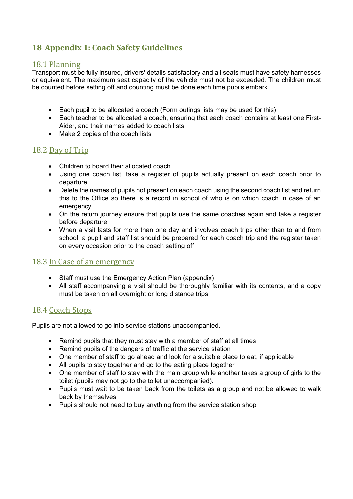### <span id="page-10-0"></span>**18 Appendix 1: Coach Safety Guidelines**

### <span id="page-10-1"></span>18.1 Planning

Transport must be fully insured, drivers' details satisfactory and all seats must have safety harnesses or equivalent. The maximum seat capacity of the vehicle must not be exceeded. The children must be counted before setting off and counting must be done each time pupils embark.

- Each pupil to be allocated a coach (Form outings lists may be used for this)
- Each teacher to be allocated a coach, ensuring that each coach contains at least one First-Aider, and their names added to coach lists
- Make 2 copies of the coach lists

### <span id="page-10-2"></span>18.2 Day of Trip

- Children to board their allocated coach
- Using one coach list, take a register of pupils actually present on each coach prior to departure
- Delete the names of pupils not present on each coach using the second coach list and return this to the Office so there is a record in school of who is on which coach in case of an emergency
- On the return journey ensure that pupils use the same coaches again and take a register before departure
- When a visit lasts for more than one day and involves coach trips other than to and from school, a pupil and staff list should be prepared for each coach trip and the register taken on every occasion prior to the coach setting off

### <span id="page-10-3"></span>18.3 In Case of an emergency

- Staff must use the Emergency Action Plan (appendix)
- All staff accompanying a visit should be thoroughly familiar with its contents, and a copy must be taken on all overnight or long distance trips

### <span id="page-10-4"></span>18.4 Coach Stops

Pupils are not allowed to go into service stations unaccompanied.

- Remind pupils that they must stay with a member of staff at all times
- Remind pupils of the dangers of traffic at the service station
- One member of staff to go ahead and look for a suitable place to eat, if applicable
- All pupils to stay together and go to the eating place together
- One member of staff to stay with the main group while another takes a group of girls to the toilet (pupils may not go to the toilet unaccompanied).
- Pupils must wait to be taken back from the toilets as a group and not be allowed to walk back by themselves
- Pupils should not need to buy anything from the service station shop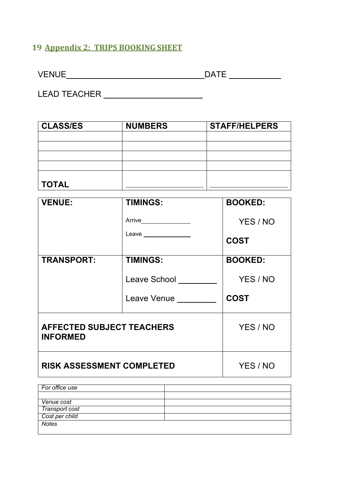### <span id="page-11-0"></span>**19 Appendix 2: TRIPS BOOKING SHEET**

| $\sqrt{5}$<br>v<br>៴∟៲៴◡∟ |  |
|---------------------------|--|
|                           |  |

LEAD TEACHER

| <b>CLASS/ES</b> | <b>NUMBERS</b> | <b>STAFF/HELPERS</b> |
|-----------------|----------------|----------------------|
|                 |                |                      |
|                 |                |                      |
|                 |                |                      |
|                 |                |                      |
| <b>TOTAL</b>    |                |                      |

| <b>VENUE:</b>                                       | <b>TIMINGS:</b>                                 | <b>BOOKED:</b>          |
|-----------------------------------------------------|-------------------------------------------------|-------------------------|
|                                                     | Arrive_________________<br>Leave ______________ | YES / NO<br><b>COST</b> |
| <b>TRANSPORT:</b>                                   | <b>TIMINGS:</b>                                 | <b>BOOKED:</b>          |
|                                                     | Leave School                                    | YES / NO                |
|                                                     | Leave Venue <u>_____</u>                        | <b>COST</b>             |
| <b>AFFECTED SUBJECT TEACHERS</b><br><b>INFORMED</b> | YES / NO                                        |                         |
| <b>RISK ASSESSMENT COMPLETED</b>                    | YES / NO                                        |                         |

| For office use |  |
|----------------|--|
|                |  |
|                |  |
| Venue cost     |  |
| Transport cost |  |
| Cost per child |  |
| <b>Notes</b>   |  |
|                |  |
|                |  |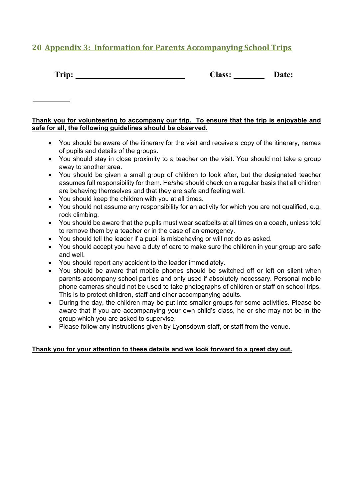### <span id="page-12-0"></span>**20 Appendix 3: Information for Parents Accompanying School Trips**

| <b>Class:</b> | <b>Date:</b> |
|---------------|--------------|
|               |              |

#### **Thank you for volunteering to accompany our trip. To ensure that the trip is enjoyable and safe for all, the following guidelines should be observed.**

- You should be aware of the itinerary for the visit and receive a copy of the itinerary, names of pupils and details of the groups.
- You should stay in close proximity to a teacher on the visit. You should not take a group away to another area.
- You should be given a small group of children to look after, but the designated teacher assumes full responsibility for them. He/she should check on a regular basis that all children are behaving themselves and that they are safe and feeling well.
- You should keep the children with you at all times.
- You should not assume any responsibility for an activity for which you are not qualified, e.g. rock climbing.
- You should be aware that the pupils must wear seatbelts at all times on a coach, unless told to remove them by a teacher or in the case of an emergency.
- You should tell the leader if a pupil is misbehaving or will not do as asked.
- You should accept you have a duty of care to make sure the children in your group are safe and well.
- You should report any accident to the leader immediately.
- You should be aware that mobile phones should be switched off or left on silent when parents accompany school parties and only used if absolutely necessary. Personal mobile phone cameras should not be used to take photographs of children or staff on school trips. This is to protect children, staff and other accompanying adults.
- During the day, the children may be put into smaller groups for some activities. Please be aware that if you are accompanying your own child's class, he or she may not be in the group which you are asked to supervise.
- Please follow any instructions given by Lyonsdown staff, or staff from the venue.

#### **Thank you for your attention to these details and we look forward to a great day out.**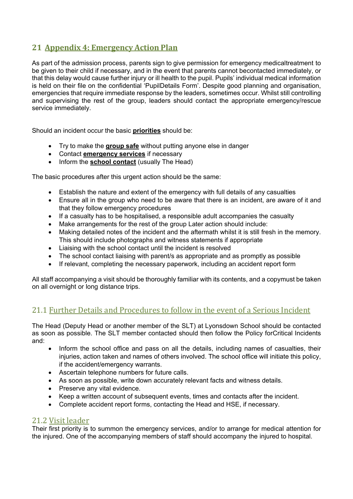### <span id="page-13-0"></span>**21 Appendix 4: Emergency Action Plan**

As part of the admission process, parents sign to give permission for emergency medicaltreatment to be given to their child if necessary, and in the event that parents cannot becontacted immediately, or that this delay would cause further injury or ill health to the pupil. Pupils' individual medical information is held on their file on the confidential 'PupilDetails Form'. Despite good planning and organisation, emergencies that require immediate response by the leaders, sometimes occur. Whilst still controlling and supervising the rest of the group, leaders should contact the appropriate emergency/rescue service immediately.

Should an incident occur the basic **priorities** should be:

- Try to make the **group safe** without putting anyone else in danger
- Contact **emergency services** if necessary
- Inform the **school contact** (usually The Head)

The basic procedures after this urgent action should be the same:

- Establish the nature and extent of the emergency with full details of any casualties
- Ensure all in the group who need to be aware that there is an incident, are aware of it and that they follow emergency procedures
- If a casualty has to be hospitalised, a responsible adult accompanies the casualty
- Make arrangements for the rest of the group Later action should include:
- Making detailed notes of the incident and the aftermath whilst it is still fresh in the memory. This should include photographs and witness statements if appropriate
- Liaising with the school contact until the incident is resolved
- The school contact liaising with parent/s as appropriate and as promptly as possible
- If relevant, completing the necessary paperwork, including an accident report form

All staff accompanying a visit should be thoroughly familiar with its contents, and a copymust be taken on all overnight or long distance trips.

### <span id="page-13-1"></span>21.1 Further Details and Procedures to follow in the event of a Serious Incident

The Head (Deputy Head or another member of the SLT) at Lyonsdown School should be contacted as soon as possible. The SLT member contacted should then follow the Policy forCritical Incidents and:

- Inform the school office and pass on all the details, including names of casualties, their injuries, action taken and names of others involved. The school office will initiate this policy, if the accident/emergency warrants.
- Ascertain telephone numbers for future calls.
- As soon as possible, write down accurately relevant facts and witness details.
- Preserve any vital evidence.
- Keep a written account of subsequent events, times and contacts after the incident.
- Complete accident report forms, contacting the Head and HSE, if necessary.

### <span id="page-13-2"></span>21.2 Visit leader

Their first priority is to summon the emergency services, and/or to arrange for medical attention for the injured. One of the accompanying members of staff should accompany the injured to hospital.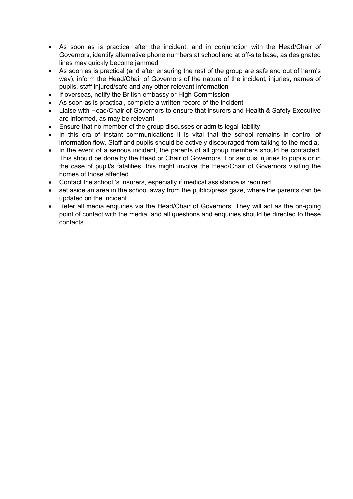- As soon as is practical after the incident, and in conjunction with the Head/Chair of Governors, identify alternative phone numbers at school and at off-site base, as designated lines may quickly become jammed
- As soon as is practical (and after ensuring the rest of the group are safe and out of harm's way), inform the Head/Chair of Governors of the nature of the incident, injuries, names of pupils, staff injured/safe and any other relevant information
- If overseas, notify the British embassy or High Commission
- As soon as is practical, complete a written record of the incident
- Liaise with Head/Chair of Governors to ensure that insurers and Health & Safety Executive are informed, as may be relevant
- Ensure that no member of the group discusses or admits legal liability
- In this era of instant communications it is vital that the school remains in control of information flow. Staff and pupils should be actively discouraged from talking to the media.
- In the event of a serious incident, the parents of all group members should be contacted. This should be done by the Head or Chair of Governors. For serious injuries to pupils or in the case of pupil/s fatalities, this might involve the Head/Chair of Governors visiting the homes of those affected.
- Contact the school 's insurers, especially if medical assistance is required
- set aside an area in the school away from the public/press gaze, where the parents can be updated on the incident
- Refer all media enquiries via the Head/Chair of Governors. They will act as the on-going point of contact with the media, and all questions and enquiries should be directed to these contacts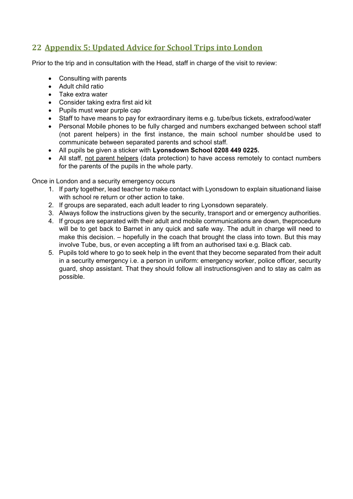### <span id="page-15-0"></span>**22 Appendix 5: Updated Advice for School Trips into London**

Prior to the trip and in consultation with the Head, staff in charge of the visit to review:

- Consulting with parents
- Adult child ratio
- Take extra water
- Consider taking extra first aid kit
- Pupils must wear purple cap
- Staff to have means to pay for extraordinary items e.g. tube/bus tickets, extrafood/water
- Personal Mobile phones to be fully charged and numbers exchanged between school staff (not parent helpers) in the first instance, the main school number should be used to communicate between separated parents and school staff.
- All pupils be given a sticker with **Lyonsdown School 0208 449 0225.**
- All staff, not parent helpers (data protection) to have access remotely to contact numbers for the parents of the pupils in the whole party.

Once in London and a security emergency occurs

- 1. If party together, lead teacher to make contact with Lyonsdown to explain situationand liaise with school re return or other action to take.
- 2. If groups are separated, each adult leader to ring Lyonsdown separately.
- 3. Always follow the instructions given by the security, transport and or emergency authorities.
- 4. If groups are separated with their adult and mobile communications are down, theprocedure will be to get back to Barnet in any quick and safe way. The adult in charge will need to make this decision. – hopefully in the coach that brought the class into town. But this may involve Tube, bus, or even accepting a lift from an authorised taxi e.g. Black cab.
- 5. Pupils told where to go to seek help in the event that they become separated from their adult in a security emergency i.e. a person in uniform: emergency worker, police officer, security guard, shop assistant. That they should follow all instructionsgiven and to stay as calm as possible.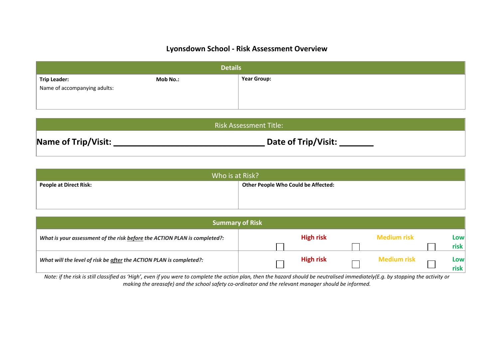### **Lyonsdown School - Risk Assessment Overview**

| <b>Details</b>               |          |                    |  |  |
|------------------------------|----------|--------------------|--|--|
| <b>Trip Leader:</b>          | Mob No.: | <b>Year Group:</b> |  |  |
| Name of accompanying adults: |          |                    |  |  |
|                              |          |                    |  |  |
|                              |          |                    |  |  |

| <b>Risk Assessment Title:</b> |                     |  |  |  |
|-------------------------------|---------------------|--|--|--|
| Name of Trip/Visit:           | Date of Trip/Visit: |  |  |  |

| Who is at Risk?                                                      |  |  |  |  |
|----------------------------------------------------------------------|--|--|--|--|
| <b>Other People Who Could be Affected:</b><br>People at Direct Risk: |  |  |  |  |
|                                                                      |  |  |  |  |

| Summary of Risk                                                           |  |                  |  |                    |              |
|---------------------------------------------------------------------------|--|------------------|--|--------------------|--------------|
| What is your assessment of the risk before the ACTION PLAN is completed?: |  | <b>High risk</b> |  | <b>Medium risk</b> | Lowl         |
|                                                                           |  |                  |  |                    | risk         |
| What will the level of risk be after the ACTION PLAN is completed?:       |  | <b>High risk</b> |  | <b>Medium risk</b> | Lowl<br>risk |

*Note: if the risk is still classified as 'High', even if you were to complete the action plan, then the hazard should be neutralised immediately(E.g. by stopping the activity or making the areasafe) and the school safety co-ordinator and the relevant manager should be informed.*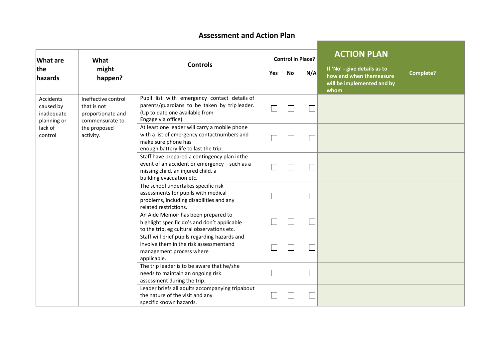### **Assessment and Action Plan**

| What are                                            | What                                                                       |                                                                                                                                                                 | <b>Control in Place?</b> |         |                             | <b>ACTION PLAN</b>                                                                                                |
|-----------------------------------------------------|----------------------------------------------------------------------------|-----------------------------------------------------------------------------------------------------------------------------------------------------------------|--------------------------|---------|-----------------------------|-------------------------------------------------------------------------------------------------------------------|
| the<br>might<br>happen?<br>hazards                  |                                                                            | <b>Controls</b>                                                                                                                                                 |                          | No      | N/A                         | If 'No' - give details as to<br><b>Complete?</b><br>how and when themeasure<br>will be implemented and by<br>whom |
| Accidents<br>caused by<br>inadequate<br>planning or | Ineffective control<br>that is not<br>proportionate and<br>commensurate to | Pupil list with emergency contact details of<br>parents/guardians to be taken by tripleader.<br>(Up to date one available from<br>Engage via office).           |                          | T,      | $\mathcal{L}_{\mathcal{A}}$ |                                                                                                                   |
| lack of<br>control                                  | the proposed<br>activity.                                                  | At least one leader will carry a mobile phone<br>with a list of emergency contactnumbers and<br>make sure phone has<br>enough battery life to last the trip.    |                          |         | $\mathcal{L}_{\mathcal{A}}$ |                                                                                                                   |
|                                                     |                                                                            | Staff have prepared a contingency plan inthe<br>event of an accident or emergency - such as a<br>missing child, an injured child, a<br>building evacuation etc. |                          |         |                             |                                                                                                                   |
|                                                     |                                                                            | The school undertakes specific risk<br>assessments for pupils with medical<br>problems, including disabilities and any<br>related restrictions.                 |                          | J.      |                             |                                                                                                                   |
|                                                     |                                                                            | An Aide Memoir has been prepared to<br>highlight specific do's and don't applicable<br>to the trip, eg cultural observations etc.                               | ┓                        | a<br>Ma |                             |                                                                                                                   |
|                                                     |                                                                            | Staff will brief pupils regarding hazards and<br>involve them in the risk assessmentand<br>management process where<br>applicable.                              |                          |         | $\Box$                      |                                                                                                                   |
|                                                     |                                                                            | The trip leader is to be aware that he/she<br>needs to maintain an ongoing risk<br>assessment during the trip.                                                  |                          |         |                             |                                                                                                                   |
|                                                     |                                                                            | Leader briefs all adults accompanying tripabout<br>the nature of the visit and any<br>specific known hazards.                                                   |                          |         | $\mathcal{L}_{\mathcal{A}}$ |                                                                                                                   |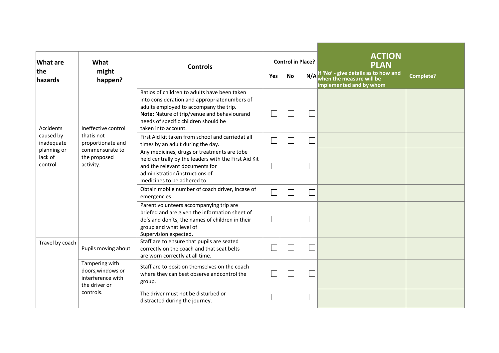| <b>What are</b>                   | What                                                                      | <b>Controls</b>                                                                                                                                                                                                                                      | <b>Control in Place?</b> |                             |     | <b>ACTION</b><br><b>PLAN</b>                                                                |           |  |
|-----------------------------------|---------------------------------------------------------------------------|------------------------------------------------------------------------------------------------------------------------------------------------------------------------------------------------------------------------------------------------------|--------------------------|-----------------------------|-----|---------------------------------------------------------------------------------------------|-----------|--|
| the<br>hazards                    | might<br>happen?                                                          |                                                                                                                                                                                                                                                      |                          | <b>No</b>                   | N/A | If 'No' - give details as to how and<br>when the measure will be<br>implemented and by whom | Complete? |  |
| <b>Accidents</b>                  | Ineffective control                                                       | Ratios of children to adults have been taken<br>into consideration and appropriatenumbers of<br>adults employed to accompany the trip.<br>Note: Nature of trip/venue and behaviourand<br>needs of specific children should be<br>taken into account. |                          |                             |     |                                                                                             |           |  |
| caused by<br>inadequate           | thatis not<br>proportionate and                                           | First Aid kit taken from school and carriedat all<br>times by an adult during the day.                                                                                                                                                               |                          | Ξ                           |     |                                                                                             |           |  |
| planning or<br>lack of<br>control | commensurate to<br>the proposed<br>activity.                              | Any medicines, drugs or treatments are tobe<br>held centrally by the leaders with the First Aid Kit<br>and the relevant documents for<br>administration/instructions of<br>medicines to be adhered to.                                               |                          |                             |     |                                                                                             |           |  |
|                                   |                                                                           | Obtain mobile number of coach driver, incase of<br>emergencies                                                                                                                                                                                       |                          | Ξ                           | ٦   |                                                                                             |           |  |
|                                   |                                                                           | Parent volunteers accompanying trip are<br>briefed and are given the information sheet of<br>do's and don'ts, the names of children in their<br>group and what level of<br>Supervision expected.                                                     |                          | $\mathcal{L}_{\mathcal{A}}$ |     |                                                                                             |           |  |
| Travel by coach                   | Pupils moving about                                                       | Staff are to ensure that pupils are seated<br>correctly on the coach and that seat belts<br>are worn correctly at all time.                                                                                                                          |                          | J.                          |     |                                                                                             |           |  |
|                                   | Tampering with<br>doors, windows or<br>interference with<br>the driver or | Staff are to position themselves on the coach<br>where they can best observe andcontrol the<br>group.                                                                                                                                                |                          | $\mathcal{L}_{\mathcal{A}}$ |     |                                                                                             |           |  |
|                                   | controls.                                                                 | The driver must not be disturbed or<br>distracted during the journey.                                                                                                                                                                                |                          |                             |     |                                                                                             |           |  |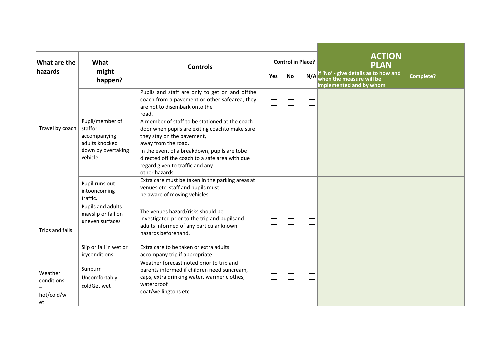| What are the                              | <b>Control in Place?</b><br>What                                                               |                                                                                                                                                                               |     |                | <b>ACTION</b> |                                                                                                            |                  |
|-------------------------------------------|------------------------------------------------------------------------------------------------|-------------------------------------------------------------------------------------------------------------------------------------------------------------------------------|-----|----------------|---------------|------------------------------------------------------------------------------------------------------------|------------------|
| hazards                                   | might<br>happen?                                                                               | <b>Controls</b>                                                                                                                                                               | Yes | No             | N/A           | <b>PLAN</b><br>If 'No' - give details as to how and<br>when the measure will be<br>implemented and by whom | <b>Complete?</b> |
|                                           |                                                                                                | Pupils and staff are only to get on and offthe<br>coach from a pavement or other safearea; they<br>are not to disembark onto the<br>road.                                     |     | $\mathcal{L}$  |               |                                                                                                            |                  |
| Travel by coach                           | Pupil/member of<br>staffor<br>accompanying<br>adults knocked<br>down by overtaking<br>vehicle. | A member of staff to be stationed at the coach<br>door when pupils are exiting coachto make sure<br>they stay on the pavement,<br>away from the road.                         |     |                |               |                                                                                                            |                  |
|                                           |                                                                                                | In the event of a breakdown, pupils are tobe<br>directed off the coach to a safe area with due<br>regard given to traffic and any<br>other hazards.                           |     | J.             |               |                                                                                                            |                  |
|                                           | Pupil runs out<br>intooncoming<br>traffic.                                                     | Extra care must be taken in the parking areas at<br>venues etc. staff and pupils must<br>be aware of moving vehicles.                                                         | n.  |                |               |                                                                                                            |                  |
| Trips and falls                           | Pupils and adults<br>mayslip or fall on<br>uneven surfaces                                     | The venues hazard/risks should be<br>investigated prior to the trip and pupilsand<br>adults informed of any particular known<br>hazards beforehand.                           |     | $\mathbb{R}^2$ |               |                                                                                                            |                  |
|                                           | Slip or fall in wet or<br>icyconditions                                                        | Extra care to be taken or extra adults<br>accompany trip if appropriate.                                                                                                      | l.  |                |               |                                                                                                            |                  |
| Weather<br>conditions<br>hot/cold/w<br>et | Sunburn<br>Uncomfortably<br>coldGet wet                                                        | Weather forecast noted prior to trip and<br>parents informed if children need suncream,<br>caps, extra drinking water, warmer clothes,<br>waterproof<br>coat/wellingtons etc. |     |                |               |                                                                                                            |                  |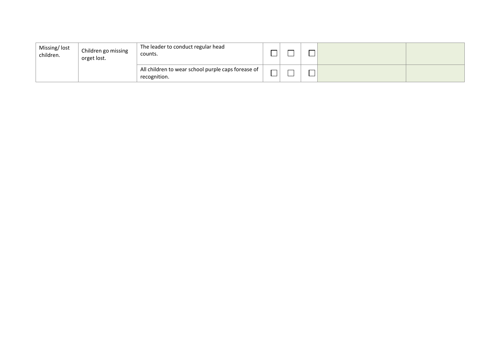| Missing/lost<br>children. | Children go missing<br>orget lost. | The leader to conduct regular head<br>counts.                      |               |  |  |
|---------------------------|------------------------------------|--------------------------------------------------------------------|---------------|--|--|
|                           |                                    | All children to wear school purple caps forease of<br>recognition. | $\Box$<br>___ |  |  |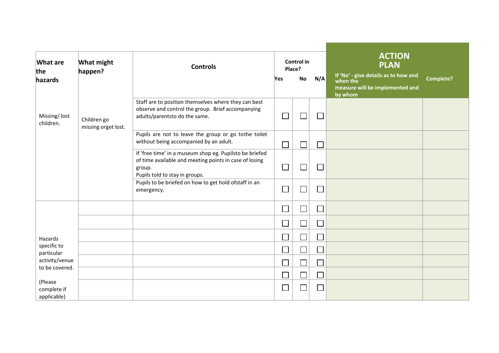|                                  |                                    |                                                                                                                                                               |                             | <b>ACTION</b>               |                             |                                                  |           |
|----------------------------------|------------------------------------|---------------------------------------------------------------------------------------------------------------------------------------------------------------|-----------------------------|-----------------------------|-----------------------------|--------------------------------------------------|-----------|
| <b>What are</b><br>the           | <b>What might</b>                  | Control in<br><b>Controls</b><br>Place?                                                                                                                       |                             |                             | <b>PLAN</b>                 |                                                  |           |
| hazards                          | happen?                            |                                                                                                                                                               | <b>Yes</b>                  | <b>No</b>                   | N/A                         | If 'No' - give details as to how and<br>when the | Complete? |
|                                  |                                    |                                                                                                                                                               |                             |                             |                             | measure will be implemented and<br>by whom       |           |
| Missing/lost<br>children.        | Children go<br>missing orget lost. | Staff are to position themselves where they can best<br>observe and control the group. Brief accompanying<br>adults/parentsto do the same.                    |                             | ┑                           | $\Box$                      |                                                  |           |
|                                  |                                    | Pupils are not to leave the group or go tothe toilet<br>without being accompanied by an adult.                                                                |                             |                             |                             |                                                  |           |
|                                  |                                    | If 'free time' in a museum shop eg. Pupilsto be briefed<br>of time available and meeting points in case of losing<br>group.<br>Pupils told to stay in groups. |                             | $\mathcal{L}_{\mathcal{A}}$ | $\mathcal{L}_{\mathcal{A}}$ |                                                  |           |
|                                  |                                    | Pupils to be briefed on how to get hold ofstaff in an<br>emergency.                                                                                           |                             |                             | J.                          |                                                  |           |
|                                  |                                    |                                                                                                                                                               | $\mathcal{L}_{\mathcal{A}}$ | $\Box$                      | $\Box$                      |                                                  |           |
|                                  |                                    |                                                                                                                                                               | $\mathcal{L}_{\mathcal{A}}$ | $\Box$                      | $\mathcal{L}_{\mathcal{A}}$ |                                                  |           |
| Hazards                          |                                    |                                                                                                                                                               | $\mathcal{L}_{\mathcal{A}}$ | $\Box$                      | $\Box$                      |                                                  |           |
| specific to<br>particular        |                                    |                                                                                                                                                               | $\overline{\phantom{0}}$    | $\Box$                      | $\Box$                      |                                                  |           |
| activity/venue<br>to be covered. |                                    |                                                                                                                                                               | $\overline{\phantom{0}}$    | $\Box$                      | $\overline{\phantom{0}}$    |                                                  |           |
| (Please                          |                                    |                                                                                                                                                               |                             | $\Box$                      | $\Box$                      |                                                  |           |
| complete if<br>applicable)       |                                    |                                                                                                                                                               |                             | $\sim 10$                   |                             |                                                  |           |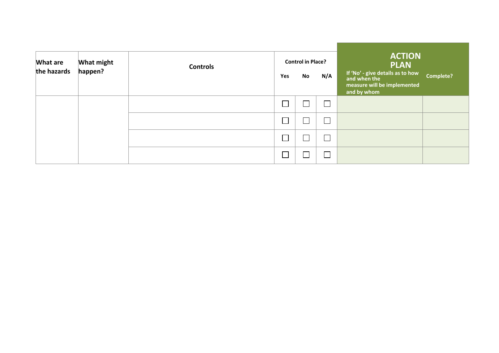| What are<br>the hazards | <b>What might</b><br>happen? | <b>Controls</b> | Yes | <b>Control in Place?</b><br>No | N/A                         | <b>ACTION</b><br><b>PLAN</b><br>If 'No' - give details as to how<br>and when the<br>measure will be implemented<br>and by whom | <b>Complete?</b> |
|-------------------------|------------------------------|-----------------|-----|--------------------------------|-----------------------------|--------------------------------------------------------------------------------------------------------------------------------|------------------|
|                         |                              |                 |     |                                | $\mathcal{L}_{\mathcal{A}}$ |                                                                                                                                |                  |
|                         |                              |                 |     |                                | $\overline{\phantom{0}}$    |                                                                                                                                |                  |
|                         |                              |                 |     |                                |                             |                                                                                                                                |                  |
|                         |                              |                 |     |                                |                             |                                                                                                                                |                  |